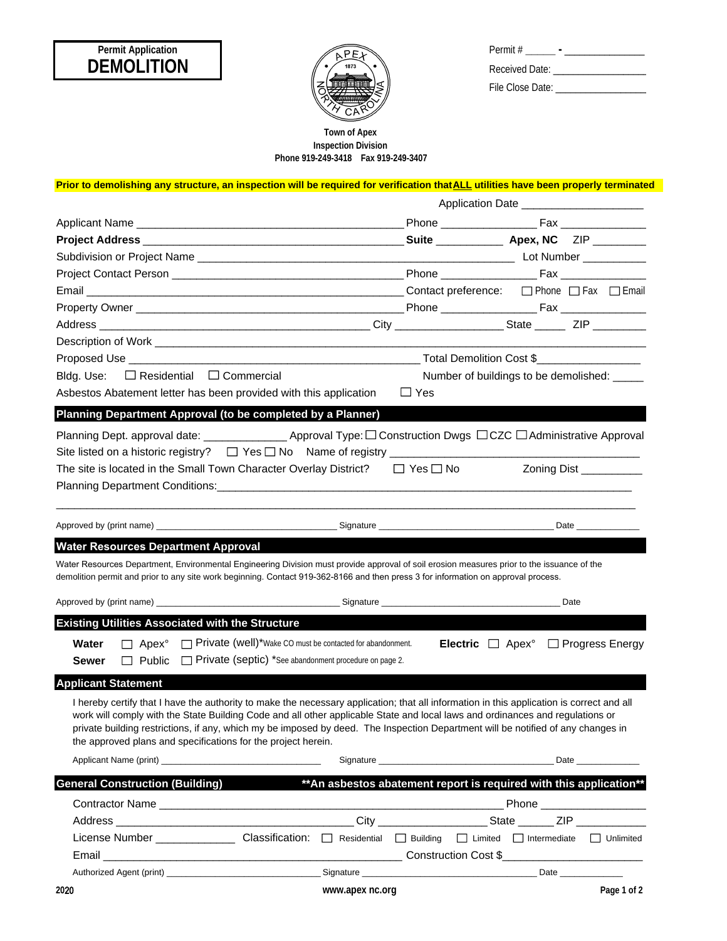# **DEMOLITION Permit Application**



| Permit #         |
|------------------|
| Received Date:   |
| File Close Date: |

## **Phone 919-249-3418 Fax 919-249-3407 Town of Apex Inspection Division**

| Prior to demolishing any structure, an inspection will be required for verification that ALL utilities have been properly terminated                                                                                                                                             |                                           |                                                                                                               |  |  |  |  |
|----------------------------------------------------------------------------------------------------------------------------------------------------------------------------------------------------------------------------------------------------------------------------------|-------------------------------------------|---------------------------------------------------------------------------------------------------------------|--|--|--|--|
|                                                                                                                                                                                                                                                                                  | Application Date ________________________ |                                                                                                               |  |  |  |  |
|                                                                                                                                                                                                                                                                                  |                                           |                                                                                                               |  |  |  |  |
|                                                                                                                                                                                                                                                                                  |                                           |                                                                                                               |  |  |  |  |
|                                                                                                                                                                                                                                                                                  |                                           |                                                                                                               |  |  |  |  |
|                                                                                                                                                                                                                                                                                  |                                           |                                                                                                               |  |  |  |  |
| Email Contact preference: □ Phone □ Fax □ Email                                                                                                                                                                                                                                  |                                           |                                                                                                               |  |  |  |  |
|                                                                                                                                                                                                                                                                                  |                                           |                                                                                                               |  |  |  |  |
|                                                                                                                                                                                                                                                                                  |                                           |                                                                                                               |  |  |  |  |
|                                                                                                                                                                                                                                                                                  |                                           |                                                                                                               |  |  |  |  |
|                                                                                                                                                                                                                                                                                  |                                           |                                                                                                               |  |  |  |  |
| Bldg. Use: $\Box$ Residential $\Box$ Commercial                                                                                                                                                                                                                                  |                                           | Number of buildings to be demolished: _____                                                                   |  |  |  |  |
| Asbestos Abatement letter has been provided with this application $\square$ Yes                                                                                                                                                                                                  |                                           |                                                                                                               |  |  |  |  |
| Planning Department Approval (to be completed by a Planner)                                                                                                                                                                                                                      |                                           |                                                                                                               |  |  |  |  |
| Planning Dept. approval date: ________________________ Approval Type: □ Construction Dwgs □ CZC □ Administrative Approval                                                                                                                                                        |                                           |                                                                                                               |  |  |  |  |
|                                                                                                                                                                                                                                                                                  |                                           |                                                                                                               |  |  |  |  |
| The site is located in the Small Town Character Overlay District? $\square$ Yes $\square$ No                                                                                                                                                                                     |                                           | Zoning Dist ___________                                                                                       |  |  |  |  |
|                                                                                                                                                                                                                                                                                  |                                           |                                                                                                               |  |  |  |  |
|                                                                                                                                                                                                                                                                                  |                                           |                                                                                                               |  |  |  |  |
|                                                                                                                                                                                                                                                                                  |                                           |                                                                                                               |  |  |  |  |
|                                                                                                                                                                                                                                                                                  |                                           |                                                                                                               |  |  |  |  |
| <b>Water Resources Department Approval</b>                                                                                                                                                                                                                                       |                                           |                                                                                                               |  |  |  |  |
| Water Resources Department, Environmental Engineering Division must provide approval of soil erosion measures prior to the issuance of the<br>demolition permit and prior to any site work beginning. Contact 919-362-8166 and then press 3 for information on approval process. |                                           |                                                                                                               |  |  |  |  |
|                                                                                                                                                                                                                                                                                  |                                           |                                                                                                               |  |  |  |  |
|                                                                                                                                                                                                                                                                                  |                                           |                                                                                                               |  |  |  |  |
| <b>Existing Utilities Associated with the Structure</b>                                                                                                                                                                                                                          |                                           |                                                                                                               |  |  |  |  |
| Apex <sup>°</sup> $\Box$ Private (well)*Wake CO must be contacted for abandonment.<br>Water                                                                                                                                                                                      |                                           | <b>Electric</b> $\Box$ Apex <sup>°</sup> $\Box$ Progress Energy                                               |  |  |  |  |
| □ Public □ Private (septic) *See abandonment procedure on page 2.<br>Sewer                                                                                                                                                                                                       |                                           |                                                                                                               |  |  |  |  |
| <b>Applicant Statement</b>                                                                                                                                                                                                                                                       |                                           |                                                                                                               |  |  |  |  |
| I hereby certify that I have the authority to make the necessary application; that all information in this application is correct and all                                                                                                                                        |                                           |                                                                                                               |  |  |  |  |
| work will comply with the State Building Code and all other applicable State and local laws and ordinances and regulations or                                                                                                                                                    |                                           |                                                                                                               |  |  |  |  |
| private building restrictions, if any, which my be imposed by deed. The Inspection Department will be notified of any changes in                                                                                                                                                 |                                           |                                                                                                               |  |  |  |  |
| the approved plans and specifications for the project herein.                                                                                                                                                                                                                    |                                           |                                                                                                               |  |  |  |  |
| Applicant Name (print) Applicant Name (print)                                                                                                                                                                                                                                    |                                           | Date and the state of the state of the state of the state of the state of the state of the state of the state |  |  |  |  |
| <b>General Construction (Building)</b>                                                                                                                                                                                                                                           |                                           | ** An asbestos abatement report is required with this application**                                           |  |  |  |  |
|                                                                                                                                                                                                                                                                                  |                                           |                                                                                                               |  |  |  |  |
|                                                                                                                                                                                                                                                                                  |                                           |                                                                                                               |  |  |  |  |
|                                                                                                                                                                                                                                                                                  |                                           |                                                                                                               |  |  |  |  |
|                                                                                                                                                                                                                                                                                  |                                           |                                                                                                               |  |  |  |  |
|                                                                                                                                                                                                                                                                                  |                                           |                                                                                                               |  |  |  |  |